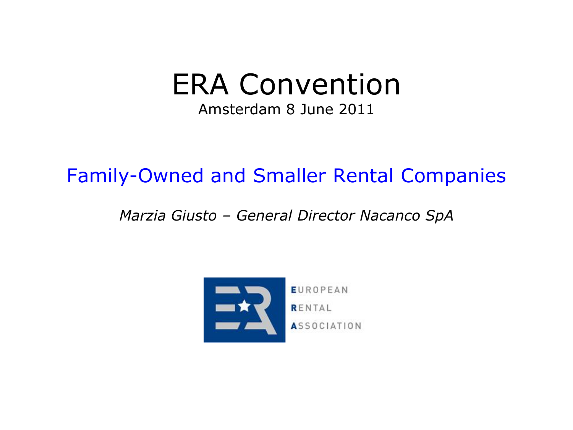# ERA Convention

Amsterdam 8 June 2011

## Family-Owned and Smaller Rental Companies

#### *Marzia Giusto – General Director Nacanco SpA*

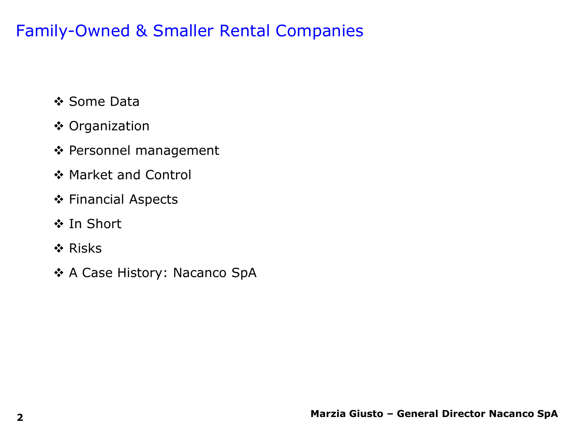- ❖ Some Data
- **❖ Organization**
- ◆ Personnel management
- ❖ Market and Control
- Financial Aspects
- ❖ In Short
- ❖ Risks
- ◆ A Case History: Nacanco SpA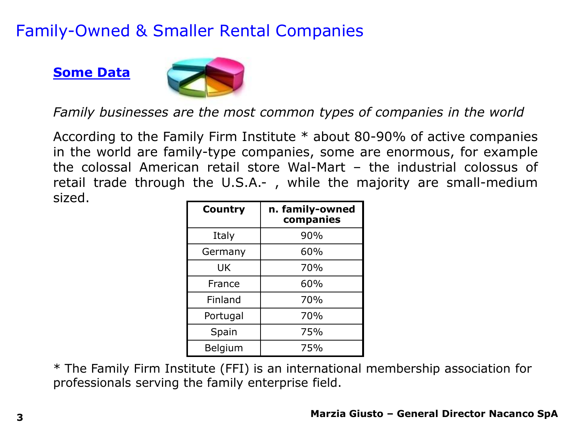#### **Some Data**



*Family businesses are the most common types of companies in the world*

According to the Family Firm Institute \* about 80-90% of active companies in the world are family-type companies, some are enormous, for example the colossal American retail store Wal-Mart – the industrial colossus of retail trade through the U.S.A.- , while the majority are small-medium sized.

| <b>Country</b> | n. family-owned<br>companies |
|----------------|------------------------------|
| Italy          | 90%                          |
| Germany        | 60%                          |
| UK             | 70%                          |
| France         | 60%                          |
| Finland        | 70%                          |
| Portugal       | 70%                          |
| Spain          | 75%                          |
| Belgium        | 75%                          |

\* The Family Firm Institute (FFI) is an international membership association for professionals serving the family enterprise field.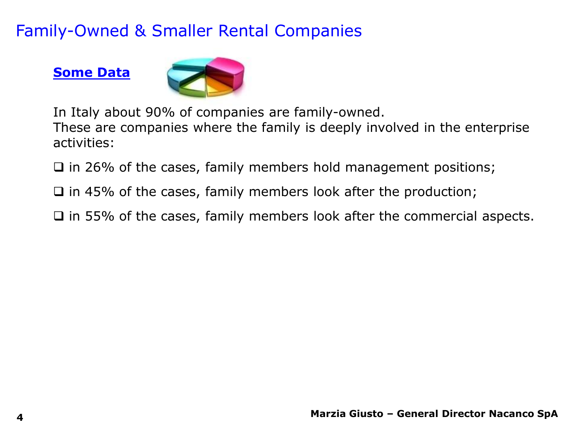#### **Some Data**



In Italy about 90% of companies are family-owned.

These are companies where the family is deeply involved in the enterprise activities:

 $\Box$  in 26% of the cases, family members hold management positions;

 $\Box$  in 45% of the cases, family members look after the production;

 $\Box$  in 55% of the cases, family members look after the commercial aspects.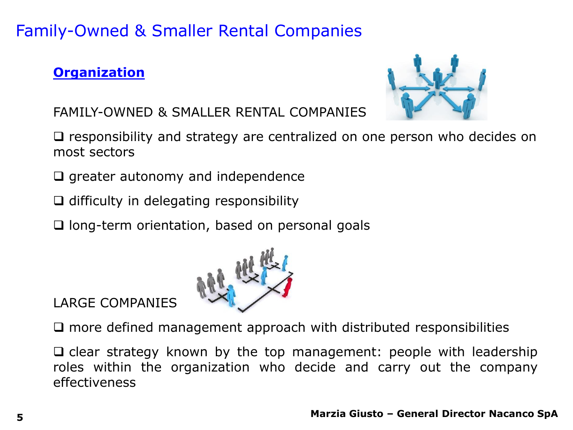#### **Organization**



FAMILY-OWNED & SMALLER RENTAL COMPANIES

 $\Box$  responsibility and strategy are centralized on one person who decides on most sectors

- $\Box$  greater autonomy and independence
- $\Box$  difficulty in delegating responsibility

 $\Box$  long-term orientation, based on personal goals



LARGE COMPANIES

 $\square$  more defined management approach with distributed responsibilities

 $\Box$  clear strategy known by the top management: people with leadership roles within the organization who decide and carry out the company effectiveness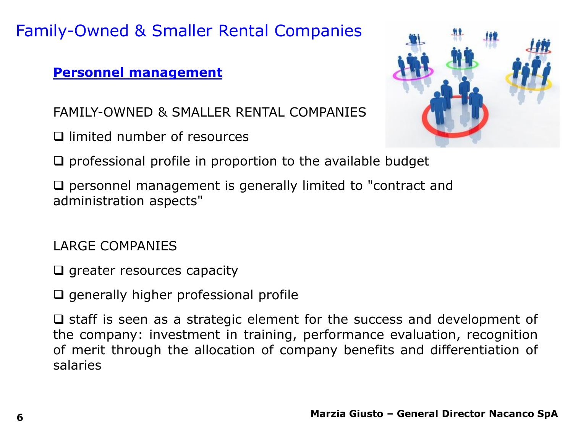#### **Personnel management**

FAMILY-OWNED & SMALLER RENTAL COMPANIES

□ limited number of resources



 $\Box$  professional profile in proportion to the available budget

 $\Box$  personnel management is generally limited to "contract and administration aspects"

LARGE COMPANIES

 $\Box$  greater resources capacity

 $\Box$  generally higher professional profile

 $\square$  staff is seen as a strategic element for the success and development of the company: investment in training, performance evaluation, recognition of merit through the allocation of company benefits and differentiation of salaries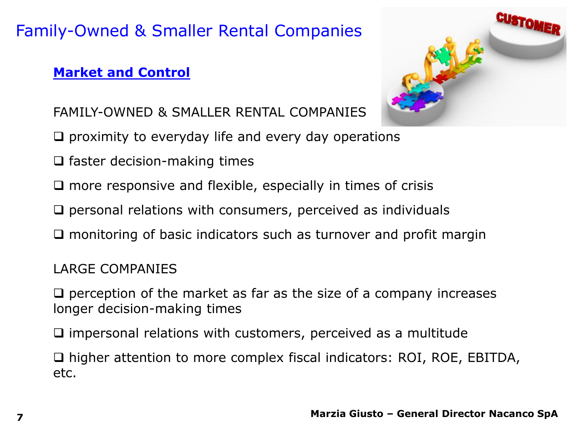#### **Market and Control**



- FAMILY-OWNED & SMALLER RENTAL COMPANIES
- $\Box$  proximity to everyday life and every day operations
- $\square$  faster decision-making times
- $\Box$  more responsive and flexible, especially in times of crisis
- $\Box$  personal relations with consumers, perceived as individuals
- $\square$  monitoring of basic indicators such as turnover and profit margin

LARGE COMPANIES

 $\Box$  perception of the market as far as the size of a company increases longer decision-making times

 $\square$  impersonal relations with customers, perceived as a multitude

□ higher attention to more complex fiscal indicators: ROI, ROE, EBITDA, etc.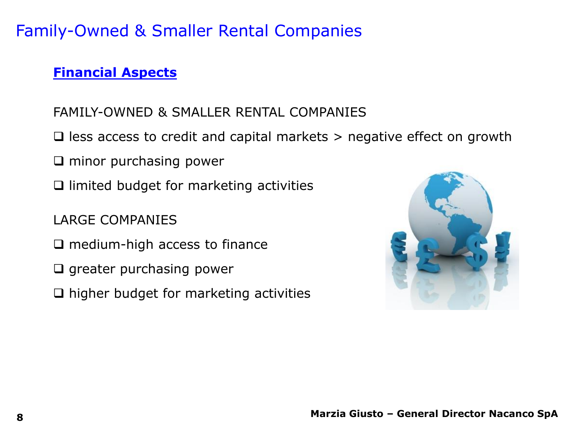#### **Financial Aspects**

#### FAMILY-OWNED & SMALLER RENTAL COMPANIES

- $\Box$  less access to credit and capital markets  $>$  negative effect on growth
- $\Box$  minor purchasing power
- $\Box$  limited budget for marketing activities
- LARGE COMPANIES
- $\square$  medium-high access to finance
- $\Box$  greater purchasing power
- $\Box$  higher budget for marketing activities

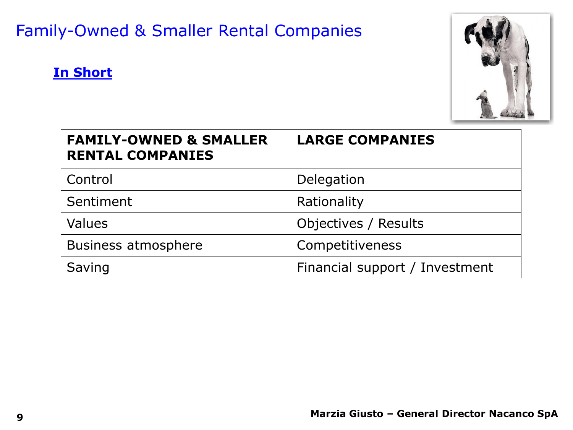



| <b>FAMILY-OWNED &amp; SMALLER</b><br><b>RENTAL COMPANIES</b> | <b>LARGE COMPANIES</b>         |
|--------------------------------------------------------------|--------------------------------|
| Control                                                      | Delegation                     |
| Sentiment                                                    | Rationality                    |
| Values                                                       | Objectives / Results           |
| <b>Business atmosphere</b>                                   | Competitiveness                |
| Saving                                                       | Financial support / Investment |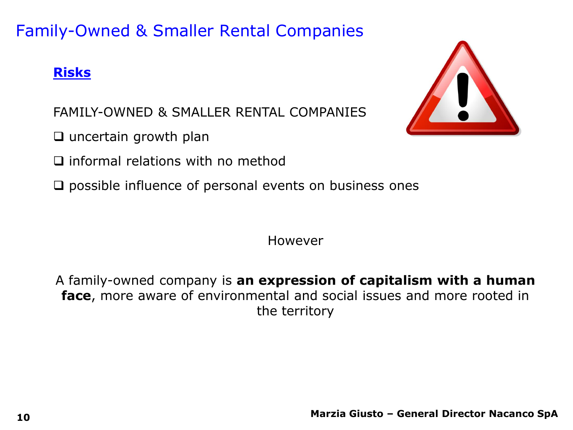#### **Risks**



FAMILY-OWNED & SMALLER RENTAL COMPANIES

 $\Box$  uncertain growth plan

 $\square$  informal relations with no method

 $\square$  possible influence of personal events on business ones

However

A family-owned company is **an expression of capitalism with a human face**, more aware of environmental and social issues and more rooted in the territory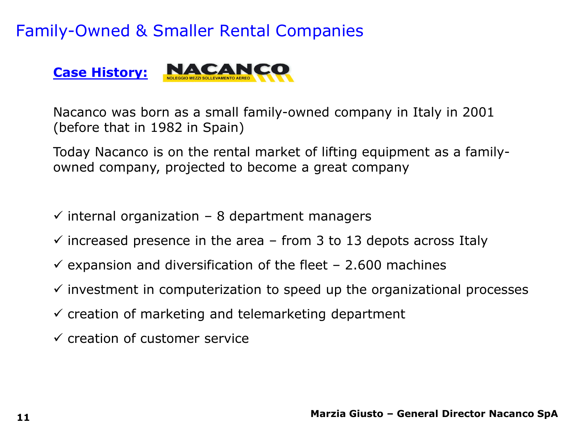

Nacanco was born as a small family-owned company in Italy in 2001 (before that in 1982 in Spain)

Today Nacanco is on the rental market of lifting equipment as a familyowned company, projected to become a great company

- $\checkmark$  internal organization 8 department managers
- $\checkmark$  increased presence in the area from 3 to 13 depots across Italy
- $\checkmark$  expansion and diversification of the fleet 2.600 machines
- $\checkmark$  investment in computerization to speed up the organizational processes
- $\checkmark$  creation of marketing and telemarketing department
- $\checkmark$  creation of customer service